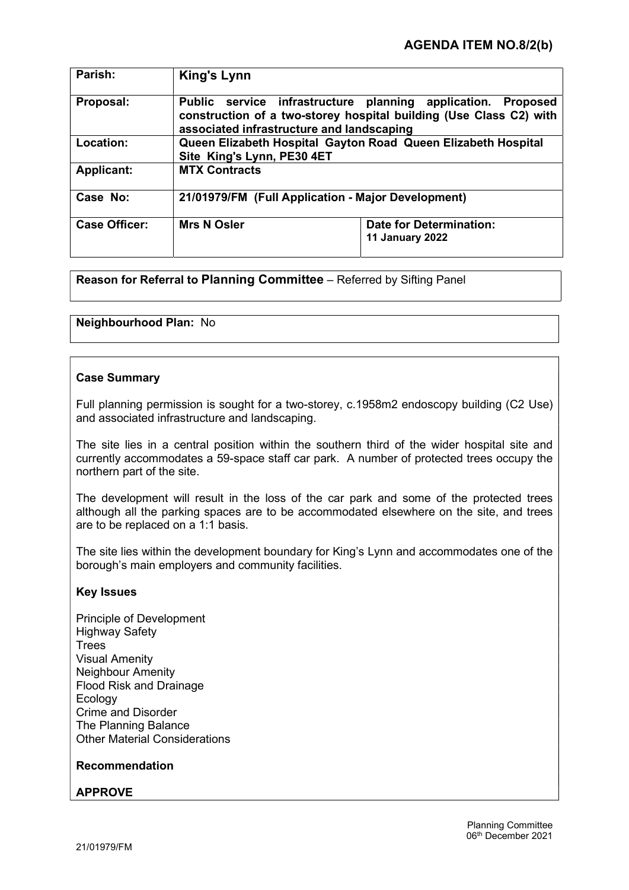| Parish:              | King's Lynn                                                                                                                                                                               |                                                   |
|----------------------|-------------------------------------------------------------------------------------------------------------------------------------------------------------------------------------------|---------------------------------------------------|
| Proposal:            | Public service infrastructure planning application.<br><b>Proposed</b><br>construction of a two-storey hospital building (Use Class C2) with<br>associated infrastructure and landscaping |                                                   |
| Location:            | Queen Elizabeth Hospital Gayton Road Queen Elizabeth Hospital<br>Site King's Lynn, PE30 4ET                                                                                               |                                                   |
| <b>Applicant:</b>    | <b>MTX Contracts</b>                                                                                                                                                                      |                                                   |
| Case No:             | 21/01979/FM (Full Application - Major Development)                                                                                                                                        |                                                   |
| <b>Case Officer:</b> | <b>Mrs N Osler</b>                                                                                                                                                                        | <b>Date for Determination:</b><br>11 January 2022 |

Reason for Referral to Planning Committee – Referred by Sifting Panel

# Neighbourhood Plan: No

# Case Summary

Full planning permission is sought for a two-storey, c.1958m2 endoscopy building (C2 Use) and associated infrastructure and landscaping.

The site lies in a central position within the southern third of the wider hospital site and currently accommodates a 59-space staff car park. A number of protected trees occupy the northern part of the site.

The development will result in the loss of the car park and some of the protected trees although all the parking spaces are to be accommodated elsewhere on the site, and trees are to be replaced on a 1:1 basis.

The site lies within the development boundary for King's Lynn and accommodates one of the borough's main employers and community facilities.

### Key Issues

Principle of Development Highway Safety **Trees** Visual Amenity Neighbour Amenity Flood Risk and Drainage Ecology Crime and Disorder The Planning Balance Other Material Considerations

### Recommendation

### APPROVE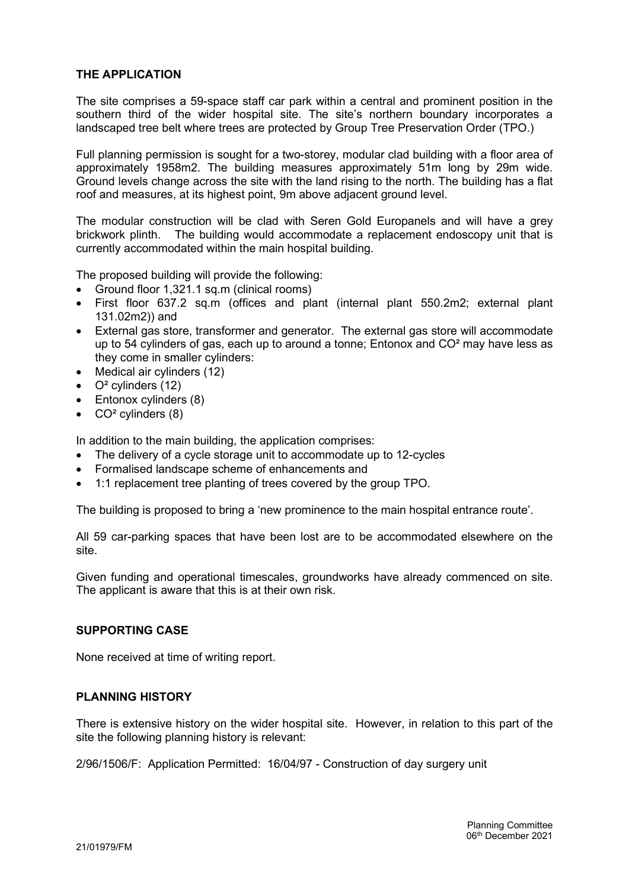# THE APPLICATION

The site comprises a 59-space staff car park within a central and prominent position in the southern third of the wider hospital site. The site's northern boundary incorporates a landscaped tree belt where trees are protected by Group Tree Preservation Order (TPO.)

Full planning permission is sought for a two-storey, modular clad building with a floor area of approximately 1958m2. The building measures approximately 51m long by 29m wide. Ground levels change across the site with the land rising to the north. The building has a flat roof and measures, at its highest point, 9m above adjacent ground level.

The modular construction will be clad with Seren Gold Europanels and will have a grey brickwork plinth. The building would accommodate a replacement endoscopy unit that is currently accommodated within the main hospital building.

The proposed building will provide the following:

- Ground floor 1,321.1 sq.m (clinical rooms)
- First floor 637.2 sq.m (offices and plant (internal plant 550.2m2; external plant 131.02m2)) and
- External gas store, transformer and generator. The external gas store will accommodate up to 54 cylinders of gas, each up to around a tonne; Entonox and CO² may have less as they come in smaller cylinders:
- Medical air cylinders (12)
- $\bullet$   $Q^2$  cylinders (12)
- Entonox cylinders (8)
- $\bullet$  CO<sup>2</sup> cylinders (8)

In addition to the main building, the application comprises:

- The delivery of a cycle storage unit to accommodate up to 12-cycles
- Formalised landscape scheme of enhancements and
- 1:1 replacement tree planting of trees covered by the group TPO.

The building is proposed to bring a 'new prominence to the main hospital entrance route'.

All 59 car-parking spaces that have been lost are to be accommodated elsewhere on the site.

Given funding and operational timescales, groundworks have already commenced on site. The applicant is aware that this is at their own risk.

## SUPPORTING CASE

None received at time of writing report.

### PLANNING HISTORY

There is extensive history on the wider hospital site. However, in relation to this part of the site the following planning history is relevant:

2/96/1506/F: Application Permitted: 16/04/97 - Construction of day surgery unit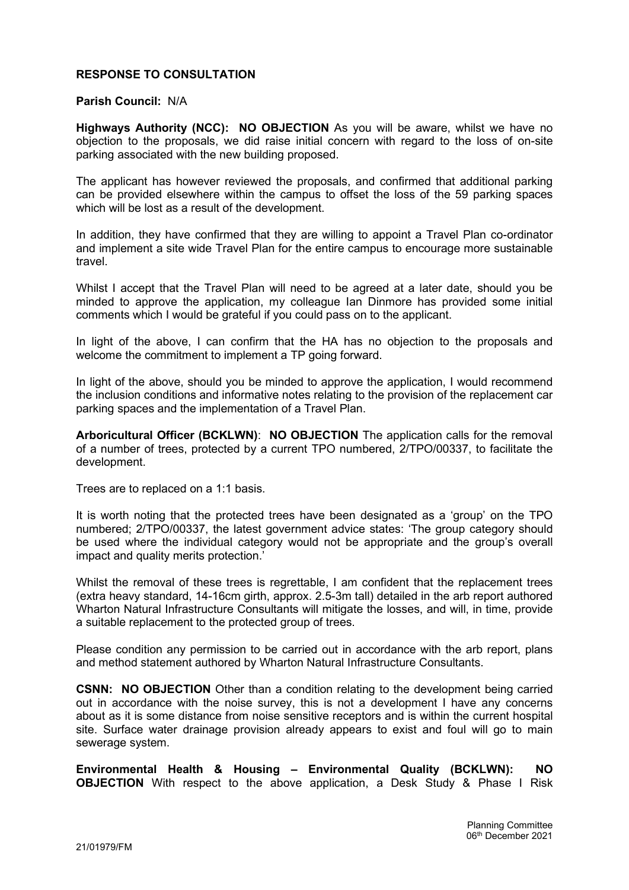# RESPONSE TO CONSULTATION

#### Parish Council: N/A

Highways Authority (NCC): NO OBJECTION As you will be aware, whilst we have no objection to the proposals, we did raise initial concern with regard to the loss of on-site parking associated with the new building proposed.

The applicant has however reviewed the proposals, and confirmed that additional parking can be provided elsewhere within the campus to offset the loss of the 59 parking spaces which will be lost as a result of the development.

In addition, they have confirmed that they are willing to appoint a Travel Plan co-ordinator and implement a site wide Travel Plan for the entire campus to encourage more sustainable travel.

Whilst I accept that the Travel Plan will need to be agreed at a later date, should you be minded to approve the application, my colleague Ian Dinmore has provided some initial comments which I would be grateful if you could pass on to the applicant.

In light of the above, I can confirm that the HA has no objection to the proposals and welcome the commitment to implement a TP going forward.

In light of the above, should you be minded to approve the application, I would recommend the inclusion conditions and informative notes relating to the provision of the replacement car parking spaces and the implementation of a Travel Plan.

Arboricultural Officer (BCKLWN): NO OBJECTION The application calls for the removal of a number of trees, protected by a current TPO numbered, 2/TPO/00337, to facilitate the development.

Trees are to replaced on a 1:1 basis.

It is worth noting that the protected trees have been designated as a 'group' on the TPO numbered; 2/TPO/00337, the latest government advice states: 'The group category should be used where the individual category would not be appropriate and the group's overall impact and quality merits protection.'

Whilst the removal of these trees is regrettable, I am confident that the replacement trees (extra heavy standard, 14-16cm girth, approx. 2.5-3m tall) detailed in the arb report authored Wharton Natural Infrastructure Consultants will mitigate the losses, and will, in time, provide a suitable replacement to the protected group of trees.

Please condition any permission to be carried out in accordance with the arb report, plans and method statement authored by Wharton Natural Infrastructure Consultants.

CSNN: NO OBJECTION Other than a condition relating to the development being carried out in accordance with the noise survey, this is not a development I have any concerns about as it is some distance from noise sensitive receptors and is within the current hospital site. Surface water drainage provision already appears to exist and foul will go to main sewerage system.

Environmental Health & Housing – Environmental Quality (BCKLWN): NO **OBJECTION** With respect to the above application, a Desk Study & Phase I Risk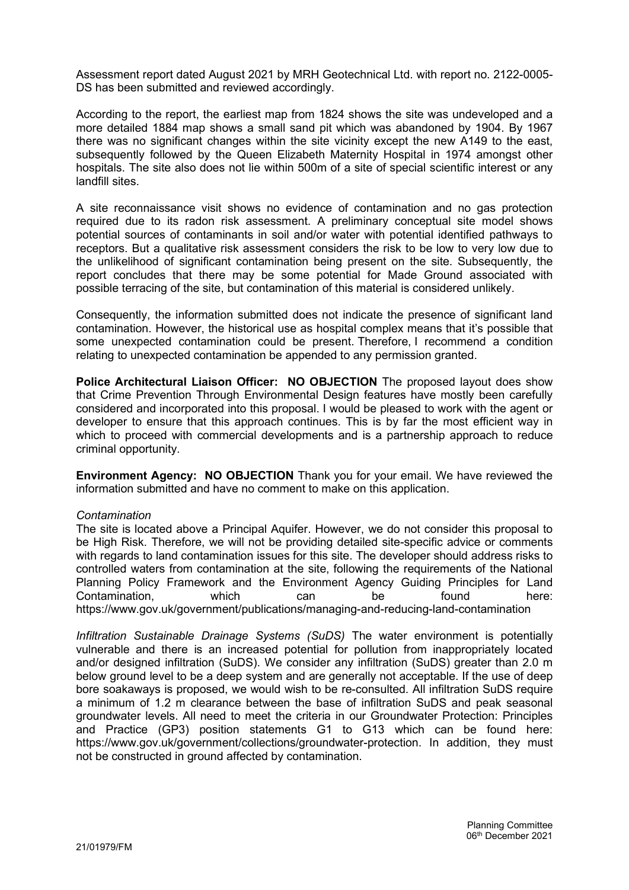Assessment report dated August 2021 by MRH Geotechnical Ltd. with report no. 2122-0005- DS has been submitted and reviewed accordingly.

According to the report, the earliest map from 1824 shows the site was undeveloped and a more detailed 1884 map shows a small sand pit which was abandoned by 1904. By 1967 there was no significant changes within the site vicinity except the new A149 to the east, subsequently followed by the Queen Elizabeth Maternity Hospital in 1974 amongst other hospitals. The site also does not lie within 500m of a site of special scientific interest or any landfill sites.

A site reconnaissance visit shows no evidence of contamination and no gas protection required due to its radon risk assessment. A preliminary conceptual site model shows potential sources of contaminants in soil and/or water with potential identified pathways to receptors. But a qualitative risk assessment considers the risk to be low to very low due to the unlikelihood of significant contamination being present on the site. Subsequently, the report concludes that there may be some potential for Made Ground associated with possible terracing of the site, but contamination of this material is considered unlikely.

Consequently, the information submitted does not indicate the presence of significant land contamination. However, the historical use as hospital complex means that it's possible that some unexpected contamination could be present. Therefore, I recommend a condition relating to unexpected contamination be appended to any permission granted.

Police Architectural Liaison Officer: NO OBJECTION The proposed layout does show that Crime Prevention Through Environmental Design features have mostly been carefully considered and incorporated into this proposal. I would be pleased to work with the agent or developer to ensure that this approach continues. This is by far the most efficient way in which to proceed with commercial developments and is a partnership approach to reduce criminal opportunity.

Environment Agency: NO OBJECTION Thank you for your email. We have reviewed the information submitted and have no comment to make on this application.

### Contamination

The site is located above a Principal Aquifer. However, we do not consider this proposal to be High Risk. Therefore, we will not be providing detailed site-specific advice or comments with regards to land contamination issues for this site. The developer should address risks to controlled waters from contamination at the site, following the requirements of the National Planning Policy Framework and the Environment Agency Guiding Principles for Land Contamination, which can be found here: https://www.gov.uk/government/publications/managing-and-reducing-land-contamination

Infiltration Sustainable Drainage Systems (SuDS) The water environment is potentially vulnerable and there is an increased potential for pollution from inappropriately located and/or designed infiltration (SuDS). We consider any infiltration (SuDS) greater than 2.0 m below ground level to be a deep system and are generally not acceptable. If the use of deep bore soakaways is proposed, we would wish to be re-consulted. All infiltration SuDS require a minimum of 1.2 m clearance between the base of infiltration SuDS and peak seasonal groundwater levels. All need to meet the criteria in our Groundwater Protection: Principles and Practice (GP3) position statements G1 to G13 which can be found here: https://www.gov.uk/government/collections/groundwater-protection. In addition, they must not be constructed in ground affected by contamination.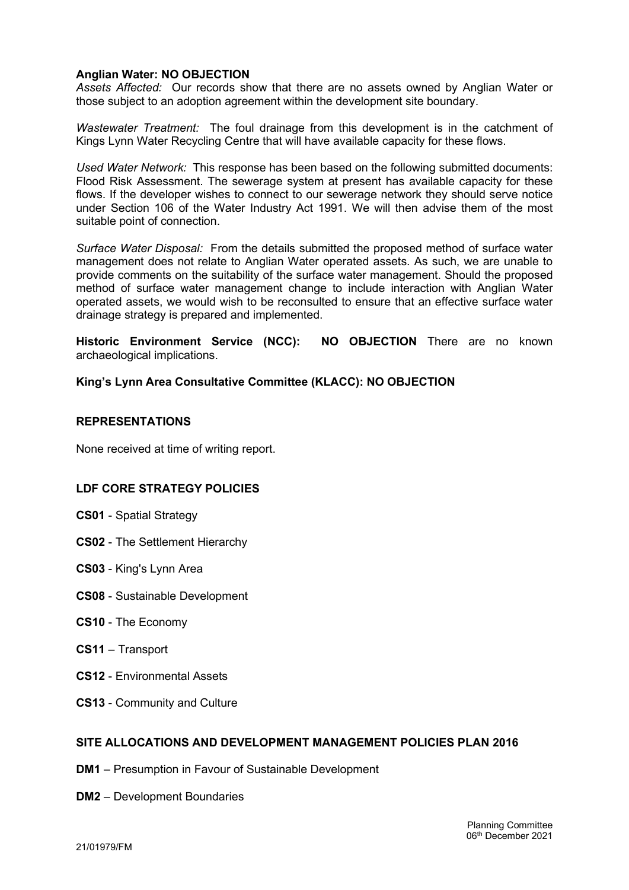# Anglian Water: NO OBJECTION

Assets Affected: Our records show that there are no assets owned by Anglian Water or those subject to an adoption agreement within the development site boundary.

Wastewater Treatment: The foul drainage from this development is in the catchment of Kings Lynn Water Recycling Centre that will have available capacity for these flows.

Used Water Network: This response has been based on the following submitted documents: Flood Risk Assessment. The sewerage system at present has available capacity for these flows. If the developer wishes to connect to our sewerage network they should serve notice under Section 106 of the Water Industry Act 1991. We will then advise them of the most suitable point of connection.

Surface Water Disposal: From the details submitted the proposed method of surface water management does not relate to Anglian Water operated assets. As such, we are unable to provide comments on the suitability of the surface water management. Should the proposed method of surface water management change to include interaction with Anglian Water operated assets, we would wish to be reconsulted to ensure that an effective surface water drainage strategy is prepared and implemented.

Historic Environment Service (NCC): NO OBJECTION There are no known archaeological implications.

King's Lynn Area Consultative Committee (KLACC): NO OBJECTION

### REPRESENTATIONS

None received at time of writing report.

# LDF CORE STRATEGY POLICIES

- CS01 Spatial Strategy
- CS02 The Settlement Hierarchy
- CS03 King's Lynn Area
- CS08 Sustainable Development
- CS10 The Economy
- CS11 Transport
- CS12 Environmental Assets
- CS13 Community and Culture

### SITE ALLOCATIONS AND DEVELOPMENT MANAGEMENT POLICIES PLAN 2016

- DM1 Presumption in Favour of Sustainable Development
- DM2 Development Boundaries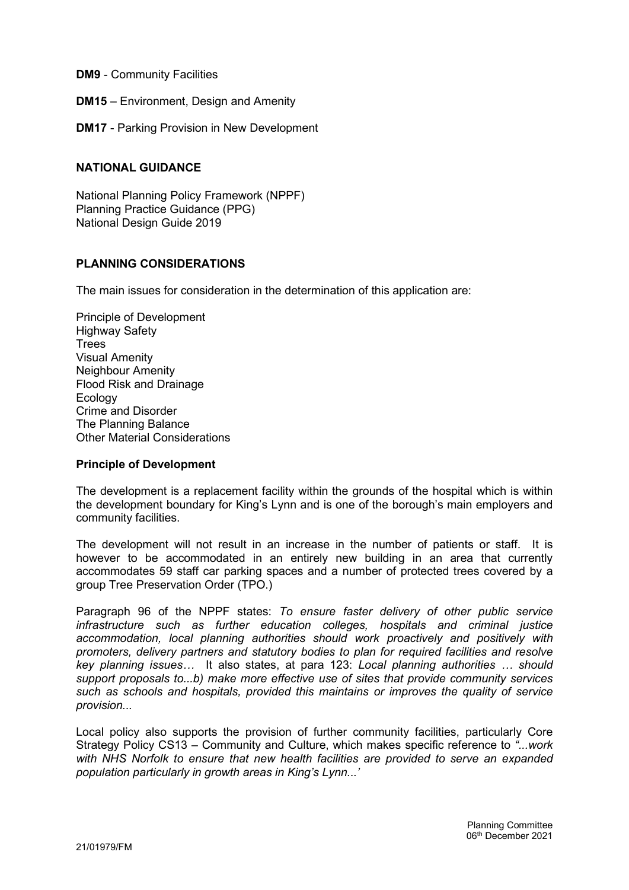DM9 - Community Facilities

DM15 – Environment, Design and Amenity

DM17 - Parking Provision in New Development

### NATIONAL GUIDANCE

National Planning Policy Framework (NPPF) Planning Practice Guidance (PPG) National Design Guide 2019

### PLANNING CONSIDERATIONS

The main issues for consideration in the determination of this application are:

Principle of Development Highway Safety **Trees** Visual Amenity Neighbour Amenity Flood Risk and Drainage Ecology Crime and Disorder The Planning Balance Other Material Considerations

### Principle of Development

The development is a replacement facility within the grounds of the hospital which is within the development boundary for King's Lynn and is one of the borough's main employers and community facilities.

The development will not result in an increase in the number of patients or staff. It is however to be accommodated in an entirely new building in an area that currently accommodates 59 staff car parking spaces and a number of protected trees covered by a group Tree Preservation Order (TPO.)

Paragraph 96 of the NPPF states: To ensure faster delivery of other public service infrastructure such as further education colleges, hospitals and criminal justice accommodation, local planning authorities should work proactively and positively with promoters, delivery partners and statutory bodies to plan for required facilities and resolve key planning issues… It also states, at para 123: Local planning authorities … should support proposals to...b) make more effective use of sites that provide community services such as schools and hospitals, provided this maintains or improves the quality of service provision...

Local policy also supports the provision of further community facilities, particularly Core Strategy Policy CS13 – Community and Culture, which makes specific reference to "...work with NHS Norfolk to ensure that new health facilities are provided to serve an expanded population particularly in growth areas in King's Lynn...'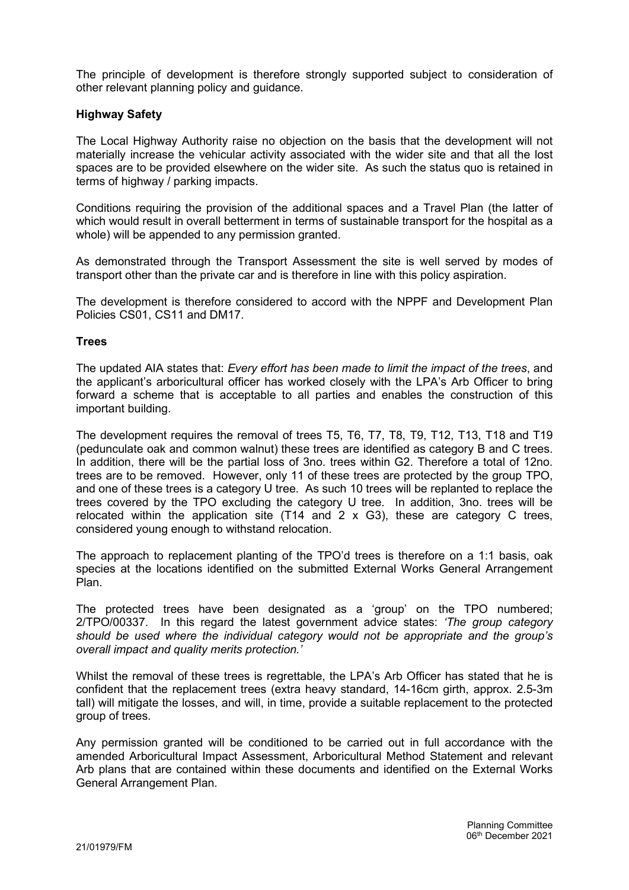The principle of development is therefore strongly supported subject to consideration of other relevant planning policy and guidance.

## Highway Safety

The Local Highway Authority raise no objection on the basis that the development will not materially increase the vehicular activity associated with the wider site and that all the lost spaces are to be provided elsewhere on the wider site. As such the status quo is retained in terms of highway / parking impacts.

Conditions requiring the provision of the additional spaces and a Travel Plan (the latter of which would result in overall betterment in terms of sustainable transport for the hospital as a whole) will be appended to any permission granted.

As demonstrated through the Transport Assessment the site is well served by modes of transport other than the private car and is therefore in line with this policy aspiration.

The development is therefore considered to accord with the NPPF and Development Plan Policies CS01, CS11 and DM17.

### **Trees**

The updated AIA states that: Every effort has been made to limit the impact of the trees, and the applicant's arboricultural officer has worked closely with the LPA's Arb Officer to bring forward a scheme that is acceptable to all parties and enables the construction of this important building.

The development requires the removal of trees T5, T6, T7, T8, T9, T12, T13, T18 and T19 (pedunculate oak and common walnut) these trees are identified as category B and C trees. In addition, there will be the partial loss of 3no. trees within G2. Therefore a total of 12no. trees are to be removed. However, only 11 of these trees are protected by the group TPO, and one of these trees is a category U tree. As such 10 trees will be replanted to replace the trees covered by the TPO excluding the category U tree. In addition, 3no. trees will be relocated within the application site  $(T14 \text{ and } 2 \times G3)$ , these are category C trees, considered young enough to withstand relocation.

The approach to replacement planting of the TPO'd trees is therefore on a 1:1 basis, oak species at the locations identified on the submitted External Works General Arrangement Plan.

The protected trees have been designated as a 'group' on the TPO numbered; 2/TPO/00337. In this regard the latest government advice states: 'The group category should be used where the individual category would not be appropriate and the group's overall impact and quality merits protection.'

Whilst the removal of these trees is regrettable, the LPA's Arb Officer has stated that he is confident that the replacement trees (extra heavy standard, 14-16cm girth, approx. 2.5-3m tall) will mitigate the losses, and will, in time, provide a suitable replacement to the protected group of trees.

Any permission granted will be conditioned to be carried out in full accordance with the amended Arboricultural Impact Assessment, Arboricultural Method Statement and relevant Arb plans that are contained within these documents and identified on the External Works General Arrangement Plan.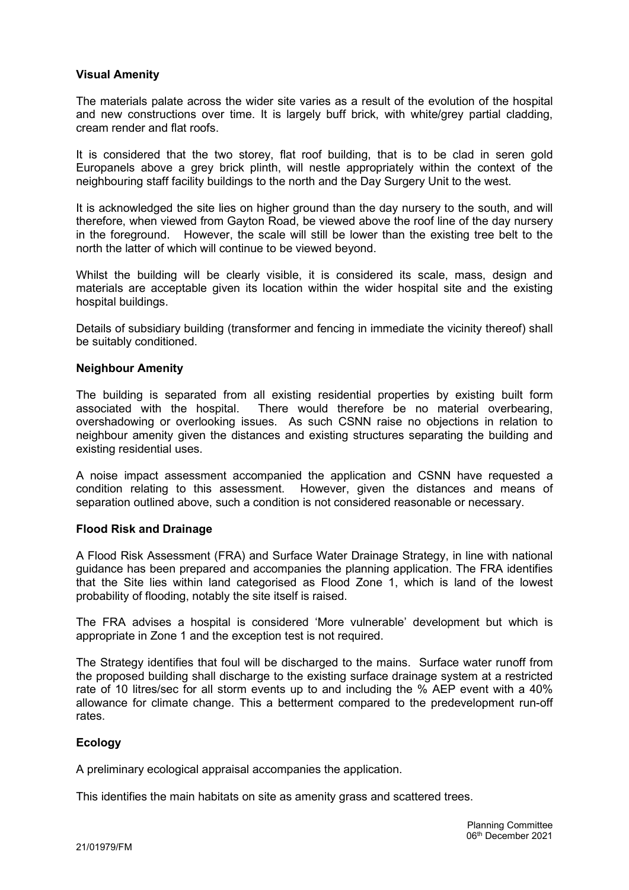# Visual Amenity

The materials palate across the wider site varies as a result of the evolution of the hospital and new constructions over time. It is largely buff brick, with white/grey partial cladding, cream render and flat roofs.

It is considered that the two storey, flat roof building, that is to be clad in seren gold Europanels above a grey brick plinth, will nestle appropriately within the context of the neighbouring staff facility buildings to the north and the Day Surgery Unit to the west.

It is acknowledged the site lies on higher ground than the day nursery to the south, and will therefore, when viewed from Gayton Road, be viewed above the roof line of the day nursery in the foreground. However, the scale will still be lower than the existing tree belt to the north the latter of which will continue to be viewed beyond.

Whilst the building will be clearly visible, it is considered its scale, mass, design and materials are acceptable given its location within the wider hospital site and the existing hospital buildings.

Details of subsidiary building (transformer and fencing in immediate the vicinity thereof) shall be suitably conditioned.

### Neighbour Amenity

The building is separated from all existing residential properties by existing built form associated with the hospital. There would therefore be no material overbearing, overshadowing or overlooking issues. As such CSNN raise no objections in relation to neighbour amenity given the distances and existing structures separating the building and existing residential uses.

A noise impact assessment accompanied the application and CSNN have requested a condition relating to this assessment. However, given the distances and means of separation outlined above, such a condition is not considered reasonable or necessary.

### Flood Risk and Drainage

A Flood Risk Assessment (FRA) and Surface Water Drainage Strategy, in line with national guidance has been prepared and accompanies the planning application. The FRA identifies that the Site lies within land categorised as Flood Zone 1, which is land of the lowest probability of flooding, notably the site itself is raised.

The FRA advises a hospital is considered 'More vulnerable' development but which is appropriate in Zone 1 and the exception test is not required.

The Strategy identifies that foul will be discharged to the mains. Surface water runoff from the proposed building shall discharge to the existing surface drainage system at a restricted rate of 10 litres/sec for all storm events up to and including the % AEP event with a 40% allowance for climate change. This a betterment compared to the predevelopment run-off rates.

### **Ecology**

A preliminary ecological appraisal accompanies the application.

This identifies the main habitats on site as amenity grass and scattered trees.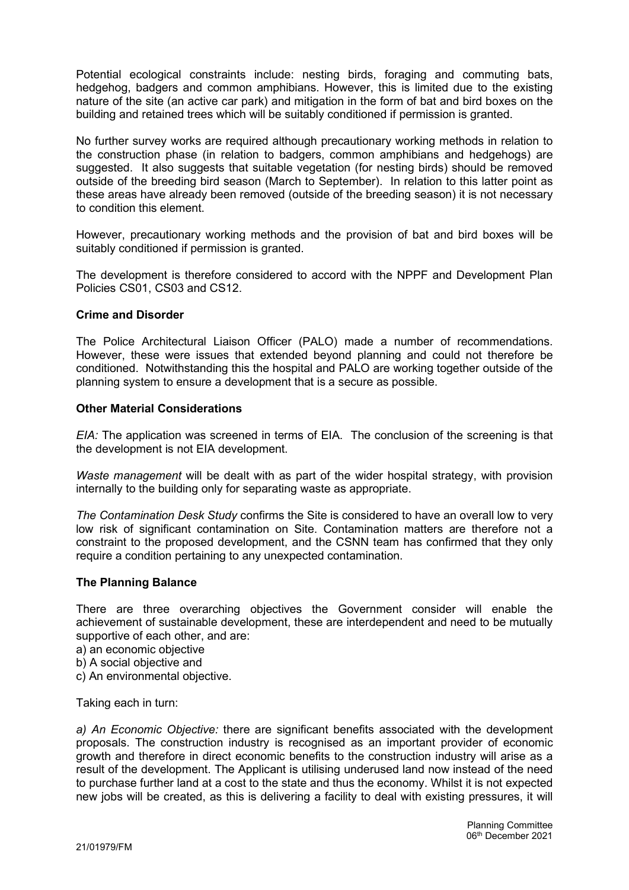Potential ecological constraints include: nesting birds, foraging and commuting bats, hedgehog, badgers and common amphibians. However, this is limited due to the existing nature of the site (an active car park) and mitigation in the form of bat and bird boxes on the building and retained trees which will be suitably conditioned if permission is granted.

No further survey works are required although precautionary working methods in relation to the construction phase (in relation to badgers, common amphibians and hedgehogs) are suggested. It also suggests that suitable vegetation (for nesting birds) should be removed outside of the breeding bird season (March to September). In relation to this latter point as these areas have already been removed (outside of the breeding season) it is not necessary to condition this element.

However, precautionary working methods and the provision of bat and bird boxes will be suitably conditioned if permission is granted.

The development is therefore considered to accord with the NPPF and Development Plan Policies CS01, CS03 and CS12.

### Crime and Disorder

The Police Architectural Liaison Officer (PALO) made a number of recommendations. However, these were issues that extended beyond planning and could not therefore be conditioned. Notwithstanding this the hospital and PALO are working together outside of the planning system to ensure a development that is a secure as possible.

### Other Material Considerations

EIA: The application was screened in terms of EIA. The conclusion of the screening is that the development is not EIA development.

Waste management will be dealt with as part of the wider hospital strategy, with provision internally to the building only for separating waste as appropriate.

The Contamination Desk Study confirms the Site is considered to have an overall low to very low risk of significant contamination on Site. Contamination matters are therefore not a constraint to the proposed development, and the CSNN team has confirmed that they only require a condition pertaining to any unexpected contamination.

# The Planning Balance

There are three overarching objectives the Government consider will enable the achievement of sustainable development, these are interdependent and need to be mutually supportive of each other, and are:

a) an economic objective

b) A social objective and

c) An environmental objective.

Taking each in turn:

a) An Economic Objective: there are significant benefits associated with the development proposals. The construction industry is recognised as an important provider of economic growth and therefore in direct economic benefits to the construction industry will arise as a result of the development. The Applicant is utilising underused land now instead of the need to purchase further land at a cost to the state and thus the economy. Whilst it is not expected new jobs will be created, as this is delivering a facility to deal with existing pressures, it will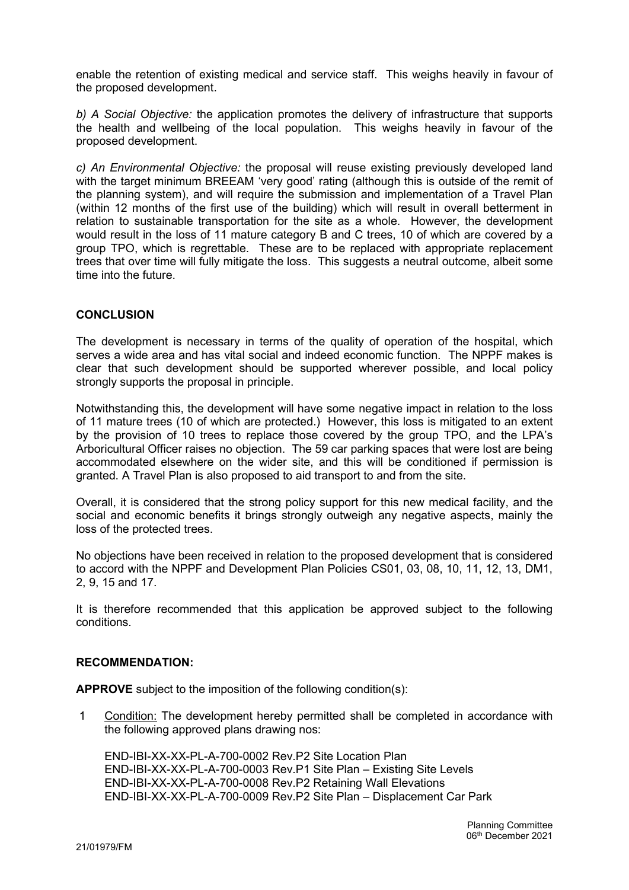enable the retention of existing medical and service staff. This weighs heavily in favour of the proposed development.

b) A Social Objective: the application promotes the delivery of infrastructure that supports the health and wellbeing of the local population. This weighs heavily in favour of the proposed development.

c) An Environmental Objective: the proposal will reuse existing previously developed land with the target minimum BREEAM 'very good' rating (although this is outside of the remit of the planning system), and will require the submission and implementation of a Travel Plan (within 12 months of the first use of the building) which will result in overall betterment in relation to sustainable transportation for the site as a whole. However, the development would result in the loss of 11 mature category B and C trees, 10 of which are covered by a group TPO, which is regrettable. These are to be replaced with appropriate replacement trees that over time will fully mitigate the loss. This suggests a neutral outcome, albeit some time into the future.

# **CONCLUSION**

The development is necessary in terms of the quality of operation of the hospital, which serves a wide area and has vital social and indeed economic function. The NPPF makes is clear that such development should be supported wherever possible, and local policy strongly supports the proposal in principle.

Notwithstanding this, the development will have some negative impact in relation to the loss of 11 mature trees (10 of which are protected.) However, this loss is mitigated to an extent by the provision of 10 trees to replace those covered by the group TPO, and the LPA's Arboricultural Officer raises no objection. The 59 car parking spaces that were lost are being accommodated elsewhere on the wider site, and this will be conditioned if permission is granted. A Travel Plan is also proposed to aid transport to and from the site.

Overall, it is considered that the strong policy support for this new medical facility, and the social and economic benefits it brings strongly outweigh any negative aspects, mainly the loss of the protected trees.

No objections have been received in relation to the proposed development that is considered to accord with the NPPF and Development Plan Policies CS01, 03, 08, 10, 11, 12, 13, DM1, 2, 9, 15 and 17.

It is therefore recommended that this application be approved subject to the following conditions.

# RECOMMENDATION:

APPROVE subject to the imposition of the following condition(s):

1 Condition: The development hereby permitted shall be completed in accordance with the following approved plans drawing nos:

END-IBI-XX-XX-PL-A-700-0002 Rev.P2 Site Location Plan END-IBI-XX-XX-PL-A-700-0003 Rev.P1 Site Plan – Existing Site Levels END-IBI-XX-XX-PL-A-700-0008 Rev.P2 Retaining Wall Elevations END-IBI-XX-XX-PL-A-700-0009 Rev.P2 Site Plan – Displacement Car Park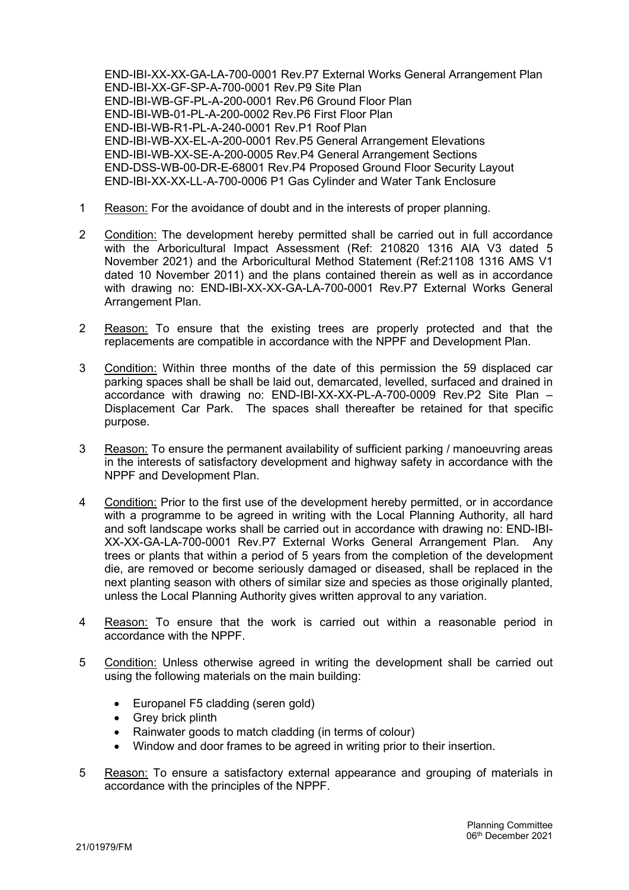END-IBI-XX-XX-GA-LA-700-0001 Rev.P7 External Works General Arrangement Plan END-IBI-XX-GF-SP-A-700-0001 Rev.P9 Site Plan END-IBI-WB-GF-PL-A-200-0001 Rev.P6 Ground Floor Plan END-IBI-WB-01-PL-A-200-0002 Rev.P6 First Floor Plan END-IBI-WB-R1-PL-A-240-0001 Rev.P1 Roof Plan END-IBI-WB-XX-EL-A-200-0001 Rev.P5 General Arrangement Elevations END-IBI-WB-XX-SE-A-200-0005 Rev.P4 General Arrangement Sections END-DSS-WB-00-DR-E-68001 Rev.P4 Proposed Ground Floor Security Layout END-IBI-XX-XX-LL-A-700-0006 P1 Gas Cylinder and Water Tank Enclosure

- 1 Reason: For the avoidance of doubt and in the interests of proper planning.
- 2 Condition: The development hereby permitted shall be carried out in full accordance with the Arboricultural Impact Assessment (Ref: 210820 1316 AIA V3 dated 5 November 2021) and the Arboricultural Method Statement (Ref:21108 1316 AMS V1 dated 10 November 2011) and the plans contained therein as well as in accordance with drawing no: END-IBI-XX-XX-GA-LA-700-0001 Rev.P7 External Works General Arrangement Plan.
- 2 Reason: To ensure that the existing trees are properly protected and that the replacements are compatible in accordance with the NPPF and Development Plan.
- 3 Condition: Within three months of the date of this permission the 59 displaced car parking spaces shall be shall be laid out, demarcated, levelled, surfaced and drained in accordance with drawing no: END-IBI-XX-XX-PL-A-700-0009 Rev.P2 Site Plan – Displacement Car Park. The spaces shall thereafter be retained for that specific purpose.
- 3 Reason: To ensure the permanent availability of sufficient parking / manoeuvring areas in the interests of satisfactory development and highway safety in accordance with the NPPF and Development Plan.
- 4 Condition: Prior to the first use of the development hereby permitted, or in accordance with a programme to be agreed in writing with the Local Planning Authority, all hard and soft landscape works shall be carried out in accordance with drawing no: END-IBI-XX-XX-GA-LA-700-0001 Rev.P7 External Works General Arrangement Plan. Any trees or plants that within a period of 5 years from the completion of the development die, are removed or become seriously damaged or diseased, shall be replaced in the next planting season with others of similar size and species as those originally planted, unless the Local Planning Authority gives written approval to any variation.
- 4 Reason: To ensure that the work is carried out within a reasonable period in accordance with the NPPF.
- 5 Condition: Unless otherwise agreed in writing the development shall be carried out using the following materials on the main building:
	- Europanel F5 cladding (seren gold)
	- Grey brick plinth
	- Rainwater goods to match cladding (in terms of colour)
	- Window and door frames to be agreed in writing prior to their insertion.
- 5 Reason: To ensure a satisfactory external appearance and grouping of materials in accordance with the principles of the NPPF.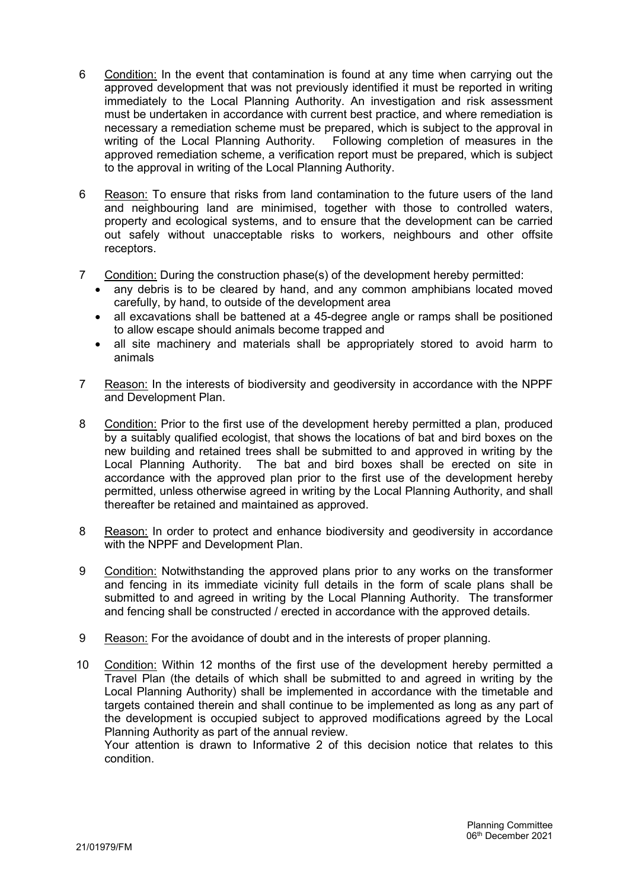- 6 Condition: In the event that contamination is found at any time when carrying out the approved development that was not previously identified it must be reported in writing immediately to the Local Planning Authority. An investigation and risk assessment must be undertaken in accordance with current best practice, and where remediation is necessary a remediation scheme must be prepared, which is subject to the approval in writing of the Local Planning Authority. Following completion of measures in the approved remediation scheme, a verification report must be prepared, which is subject to the approval in writing of the Local Planning Authority.
- 6 Reason: To ensure that risks from land contamination to the future users of the land and neighbouring land are minimised, together with those to controlled waters, property and ecological systems, and to ensure that the development can be carried out safely without unacceptable risks to workers, neighbours and other offsite receptors.
- 7 Condition: During the construction phase(s) of the development hereby permitted:
	- any debris is to be cleared by hand, and any common amphibians located moved carefully, by hand, to outside of the development area
	- all excavations shall be battened at a 45-degree angle or ramps shall be positioned to allow escape should animals become trapped and
	- all site machinery and materials shall be appropriately stored to avoid harm to animals
- 7 Reason: In the interests of biodiversity and geodiversity in accordance with the NPPF and Development Plan.
- 8 Condition: Prior to the first use of the development hereby permitted a plan, produced by a suitably qualified ecologist, that shows the locations of bat and bird boxes on the new building and retained trees shall be submitted to and approved in writing by the Local Planning Authority. The bat and bird boxes shall be erected on site in accordance with the approved plan prior to the first use of the development hereby permitted, unless otherwise agreed in writing by the Local Planning Authority, and shall thereafter be retained and maintained as approved.
- 8 Reason: In order to protect and enhance biodiversity and geodiversity in accordance with the NPPF and Development Plan.
- 9 Condition: Notwithstanding the approved plans prior to any works on the transformer and fencing in its immediate vicinity full details in the form of scale plans shall be submitted to and agreed in writing by the Local Planning Authority. The transformer and fencing shall be constructed / erected in accordance with the approved details.
- 9 Reason: For the avoidance of doubt and in the interests of proper planning.
- 10 Condition: Within 12 months of the first use of the development hereby permitted a Travel Plan (the details of which shall be submitted to and agreed in writing by the Local Planning Authority) shall be implemented in accordance with the timetable and targets contained therein and shall continue to be implemented as long as any part of the development is occupied subject to approved modifications agreed by the Local Planning Authority as part of the annual review.

Your attention is drawn to Informative 2 of this decision notice that relates to this condition.